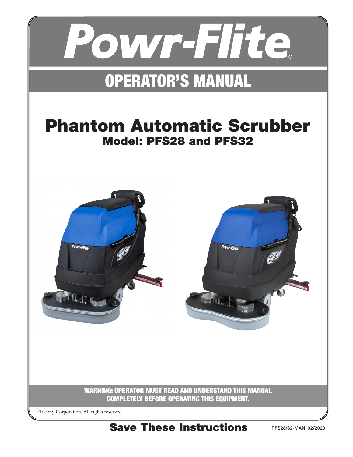

# OPERATOR'S MANUAL

# Phantom Automatic Scrubber Model: PFS28 and PFS32

Powr-Flite



WARNING: OPERATOR MUST READ AND UNDERSTAND THIS MANUAL COMPLETELY BEFORE OPERATING THIS EQUIPMENT.

©Tacony Corporation, All rights reserved

Save These Instructions

PFS28/32-MAN 02/2020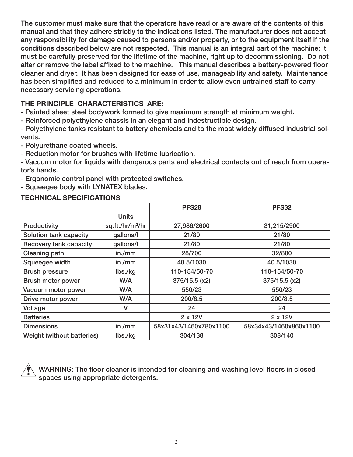The customer must make sure that the operators have read or are aware of the contents of this manual and that they adhere strictly to the indications listed. The manufacturer does not accept any responsibility for damage caused to persons and/or property, or to the equipment itself if the conditions described below are not respected. This manual is an integral part of the machine; it must be carefully preserved for the lifetime of the machine, right up to decommissioning. Do not alter or remove the label affixed to the machine. This manual describes a battery-powered floor cleaner and dryer. It has been designed for ease of use, manageability and safety. Maintenance has been simplified and reduced to a minimum in order to allow even untrained staff to carry necessary servicing operations.

## THE PRINCIPLE CHARACTERISTICS ARE:

- Painted sheet steel bodywork formed to give maximum strength at minimum weight.

- Reinforced polyethylene chassis in an elegant and indestructible design.

- Polyethylene tanks resistant to battery chemicals and to the most widely diffused industrial solvents.

- Polyurethane coated wheels.

- Reduction motor for brushes with lifetime lubrication.

- Vacuum motor for liquids with dangerous parts and electrical contacts out of reach from operator's hands.

- Ergonomic control panel with protected switches.

- Squeegee body with LYNATEX blades.

#### TECHNICAL SPECIFICATIONS

|                            |                              | <b>PFS28</b>           | <b>PFS32</b>           |
|----------------------------|------------------------------|------------------------|------------------------|
|                            | <b>Units</b>                 |                        |                        |
| Productivity               | sq.ft./hr/m <sup>2</sup> /hr | 27,986/2600            | 31,215/2900            |
| Solution tank capacity     | gallons/l                    | 21/80                  | 21/80                  |
| Recovery tank capacity     | gallons/l                    | 21/80                  | 21/80                  |
| Cleaning path              | in./mm                       | 28/700                 | 32/800                 |
| Squeegee width             | in./mm                       | 40.5/1030              | 40.5/1030              |
| <b>Brush pressure</b>      | lbs./kg                      | 110-154/50-70          | 110-154/50-70          |
| Brush motor power          | W/A                          | 375/15.5 (x2)          | $375/15.5$ (x2)        |
| Vacuum motor power         | W/A                          | 550/23                 | 550/23                 |
| Drive motor power          | W/A                          | 200/8.5                | 200/8.5                |
| Voltage                    |                              | 24                     | 24                     |
| <b>Batteries</b>           |                              | 2 x 12V                | 2 x 12V                |
| <b>Dimensions</b>          | in./mm                       | 58x31x43/1460x780x1100 | 58x34x43/1460x860x1100 |
| Weight (without batteries) | lbs./kg                      | 304/138                | 308/140                |

WARNING: The floor cleaner is intended for cleaning and washing level floors in closed spaces using appropriate detergents.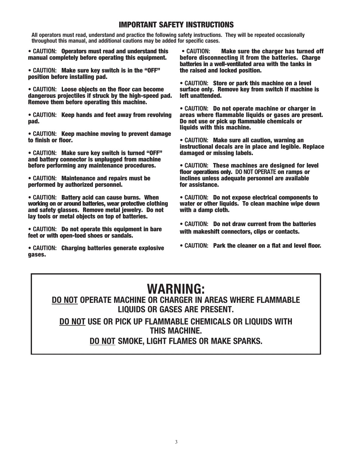## IMPORTANT SAFETY INSTRUCTIONS

All operators must read, understand and practice the following safety instructions. They will be repeated occasionally throughout this manual, and additional cautions may be added for specific cases.

• CAUTION: Operators must read and understand this manual completely before operating this equipment.

• CAUTION: Make sure key switch is in the "OFF" position before installing pad.

• CAUTION: Loose objects on the floor can become dangerous projectiles if struck by the high-speed pad. Remove them before operating this machine.

• CAUTION: Keep hands and feet away from revolving pad.

• CAUTION: Keep machine moving to prevent damage to finish or floor.

• CAUTION: Make sure key switch is turned "OFF" and battery connector is unplugged from machine before performing any maintenance procedures.

• CAUTION: Maintenance and repairs must be performed by authorized personnel.

• CAUTION: Battery acid can cause burns. When working on or around batteries, wear protective clothing and safety glasses. Remove metal jewelry. Do not lay tools or metal objects on top of batteries.

• CAUTION: Do not operate this equipment in bare feet or with open-toed shoes or sandals.

• CAUTION: Charging batteries generate explosive gases.

• CAUTION: Make sure the charger has turned off before disconnecting it from the batteries. Charge batteries in a well-ventilated area with the tanks in the raised and locked position.

• CAUTION: Store or park this machine on a level surface only. Remove key from switch if machine is left unattended.

• CAUTION: Do not operate machine or charger in areas where flammable liquids or gases are present. Do not use or pick up flammable chemicals or liquids with this machine.

• CAUTION: Make sure all caution, warning an instructional decals are in place and legible. Replace damaged or missing labels.

• CAUTION: These machines are designed for level floor operations only. DO NOT OPERATE on ramps or inclines unless adequate personnel are available for assistance.

• CAUTION: Do not expose electrical components to water or other liquids. To clean machine wipe down with a damp cloth.

• CAUTION: Do not draw current from the batteries with makeshift connectors, clips or contacts.

• CAUTION: Park the cleaner on a flat and level floor.

# WARNING:

# DO NOT OPERATE MACHINE OR CHARGER IN AREAS WHERE FLAMMABLE LIQUIDS OR GASES ARE PRESENT.

DO NOT USE OR PICK UP FLAMMABLE CHEMICALS OR LIQUIDS WITH THIS MACHINE.

DO NOT SMOKE, LIGHT FLAMES OR MAKE SPARKS.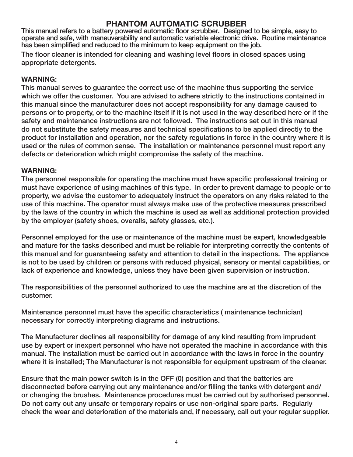# PHANTOM AUTOMATIC SCRUBBER

This manual refers to a battery powered automatic floor scrubber. Designed to be simple, easy to operate and safe, with maneuverability and automatic variable electronic drive. Routine maintenance has been simplified and reduced to the minimum to keep equipment on the job.

The floor cleaner is intended for cleaning and washing level floors in closed spaces using appropriate detergents.

### WARNING:

This manual serves to guarantee the correct use of the machine thus supporting the service which we offer the customer. You are advised to adhere strictly to the instructions contained in this manual since the manufacturer does not accept responsibility for any damage caused to persons or to property, or to the machine itself if it is not used in the way described here or if the safety and maintenance instructions are not followed. The instructions set out in this manual do not substitute the safety measures and technical specifications to be applied directly to the product for installation and operation, nor the safety regulations in force in the country where it is used or the rules of common sense. The installation or maintenance personnel must report any defects or deterioration which might compromise the safety of the machine.

#### WARNING:

The personnel responsible for operating the machine must have specific professional training or must have experience of using machines of this type. In order to prevent damage to people or to property, we advise the customer to adequately instruct the operators on any risks related to the use of this machine. The operator must always make use of the protective measures prescribed by the laws of the country in which the machine is used as well as additional protection provided by the employer (safety shoes, overalls, safety glasses, etc.).

Personnel employed for the use or maintenance of the machine must be expert, knowledgeable and mature for the tasks described and must be reliable for interpreting correctly the contents of this manual and for guaranteeing safety and attention to detail in the inspections. The appliance is not to be used by children or persons with reduced physical, sensory or mental capabilities, or lack of experience and knowledge, unless they have been given supervision or instruction.

The responsibilities of the personnel authorized to use the machine are at the discretion of the customer.

Maintenance personnel must have the specific characteristics ( maintenance technician) necessary for correctly interpreting diagrams and instructions.

The Manufacturer declines all responsibility for damage of any kind resulting from imprudent use by expert or inexpert personnel who have not operated the machine in accordance with this manual. The installation must be carried out in accordance with the laws in force in the country where it is installed; The Manufacturer is not responsible for equipment upstream of the cleaner.

Ensure that the main power switch is in the OFF (0) position and that the batteries are disconnected before carrying out any maintenance and/or filling the tanks with detergent and/ or changing the brushes. Maintenance procedures must be carried out by authorised personnel. Do not carry out any unsafe or temporary repairs or use non-original spare parts. Regularly check the wear and deterioration of the materials and, if necessary, call out your regular supplier.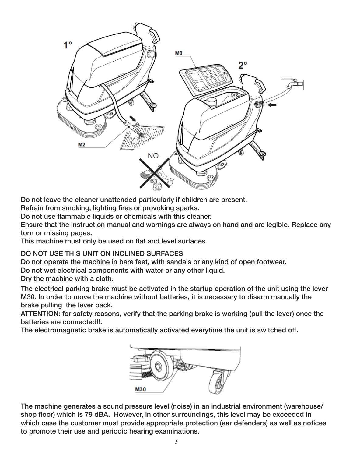

Do not leave the cleaner unattended particularly if children are present.

Refrain from smoking, lighting fires or provoking sparks.

Do not use flammable liquids or chemicals with this cleaner.

Ensure that the instruction manual and warnings are always on hand and are legible. Replace any torn or missing pages.

This machine must only be used on flat and level surfaces.

DO NOT USE THIS UNIT ON INCLINED SURFACES

Do not operate the machine in bare feet, with sandals or any kind of open footwear.

Do not wet electrical components with water or any other liquid.

Dry the machine with a cloth.

The electrical parking brake must be activated in the startup operation of the unit using the lever M30. In order to move the machine without batteries, it is necessary to disarm manually the brake pulling the lever back.

ATTENTION: for safety reasons, verify that the parking brake is working (pull the lever) once the batteries are connected!!.

The electromagnetic brake is automatically activated everytime the unit is switched off.



The machine generates a sound pressure level (noise) in an industrial environment (warehouse/ shop floor) which is 79 dBA. However, in other surroundings, this level may be exceeded in which case the customer must provide appropriate protection (ear defenders) as well as notices to promote their use and periodic hearing examinations.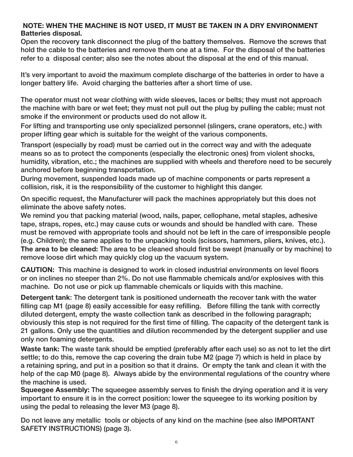### Batteries disposal. NOTE: WHEN THE MACHINE IS NOT USED, IT MUST BE TAKEN IN A DRY ENVIRONMENT

Open the recovery tank disconnect the plug of the battery themselves. Remove the screws that hold the cable to the batteries and remove them one at a time. For the disposal of the batteries refer to a disposal center; also see the notes about the disposal at the end of this manual.

It's very important to avoid the maximum complete discharge of the batteries in order to have a longer battery life. Avoid charging the batteries after a short time of use.

The operator must not wear clothing with wide sleeves, laces or belts; they must not approach the machine with bare or wet feet; they must not pull out the plug by pulling the cable; must not smoke if the environment or products used do not allow it.

For lifting and transporting use only specialized personnel (slingers, crane operators, etc.) with proper lifting gear which is suitable for the weight of the various components.

Transport (especially by road) must be carried out in the correct way and with the adequate means so as to protect the components (especially the electronic ones) from violent shocks, humidity, vibration, etc.; the machines are supplied with wheels and therefore need to be securely anchored before beginning transportation.

During movement, suspended loads made up of machine components or parts represent a collision, risk, it is the responsibility of the customer to highlight this danger.

On specific request, the Manufacturer will pack the machines appropriately but this does not eliminate the above safety notes.

We remind you that packing material (wood, nails, paper, cellophane, metal staples, adhesive tape, straps, ropes, etc.) may cause cuts or wounds and should be handled with care. These must be removed with appropriate tools and should not be left in the care of irresponsible people (e.g. Children); the same applies to the unpacking tools (scissors, hammers, pliers, knives, etc.). The area to be cleaned: The area to be cleaned should first be swept (manually or by machine) to remove loose dirt which may quickly clog up the vacuum system.

CAUTION: This machine is designed to work in closed industrial environments on level floors or on inclines no steeper than 2%. Do not use flammable chemicals and/or explosives with this machine. Do not use or pick up flammable chemicals or liquids with this machine.

Detergent tank: The detergent tank is positioned underneath the recover tank with the water filling cap M1 (page 8) easily accessible for easy refilling. Before filling the tank with correctly diluted detergent, empty the waste collection tank as described in the following paragraph; obviously this step is not required for the first time of filling. The capacity of the detergent tank is 21 gallons. Only use the quantities and dilution recommended by the detergent supplier and use only non foaming detergents.

Waste tank: The waste tank should be emptied (preferably after each use) so as not to let the dirt settle; to do this, remove the cap covering the drain tube M2 (page 7) which is held in place by a retaining spring, and put in a position so that it drains. Or empty the tank and clean it with the help of the cap M0 (page 8). Always abide by the environmental regulations of the country where the machine is used.

Squeegee Assembly: The squeegee assembly serves to finish the drying operation and it is very important to ensure it is in the correct position: lower the squeegee to its working position by using the pedal to releasing the lever M3 (page 8).

Do not leave any metallic tools or objects of any kind on the machine (see also IMPORTANT SAFETY INSTRUCTIONS) (page 3).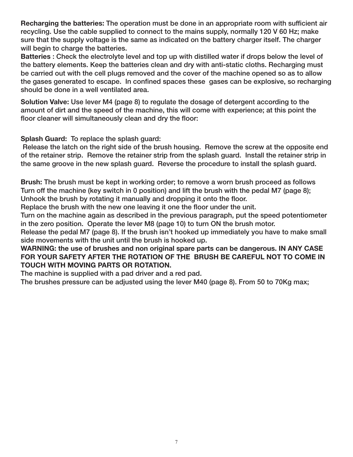Recharging the batteries: The operation must be done in an appropriate room with sufficient air recycling. Use the cable supplied to connect to the mains supply, normally 120 V 60 Hz; make sure that the supply voltage is the same as indicated on the battery charger itself. The charger will begin to charge the batteries.

Batteries : Check the electrolyte level and top up with distilled water if drops below the level of the battery elements. Keep the batteries clean and dry with anti-static cloths. Recharging must be carried out with the cell plugs removed and the cover of the machine opened so as to allow the gases generated to escape. In confined spaces these gases can be explosive, so recharging should be done in a well ventilated area.

Solution Valve: Use lever M4 (page 8) to regulate the dosage of detergent according to the amount of dirt and the speed of the machine, this will come with experience; at this point the floor cleaner will simultaneously clean and dry the floor:

Splash Guard: To replace the splash guard:

 Release the latch on the right side of the brush housing. Remove the screw at the opposite end of the retainer strip. Remove the retainer strip from the splash guard. Install the retainer strip in the same groove in the new splash guard. Reverse the procedure to install the splash guard.

Brush: The brush must be kept in working order; to remove a worn brush proceed as follows Turn off the machine (key switch in 0 position) and lift the brush with the pedal M7 (page 8); Unhook the brush by rotating it manually and dropping it onto the floor.

Replace the brush with the new one leaving it one the floor under the unit.

Turn on the machine again as described in the previous paragraph, put the speed potentiometer in the zero position. Operate the lever M8 (page 10) to turn ON the brush motor.

Release the pedal M7 (page 8). If the brush isn't hooked up immediately you have to make small side movements with the unit until the brush is hooked up.

### WARNING: the use of brushes and non original spare parts can be dangerous. IN ANY CASE FOR YOUR SAFETY AFTER THE ROTATION OF THE BRUSH BE CAREFUL NOT TO COME IN TOUCH WITH MOVING PARTS OR ROTATION.

The machine is supplied with a pad driver and a red pad.

The brushes pressure can be adjusted using the lever M40 (page 8). From 50 to 70Kg max;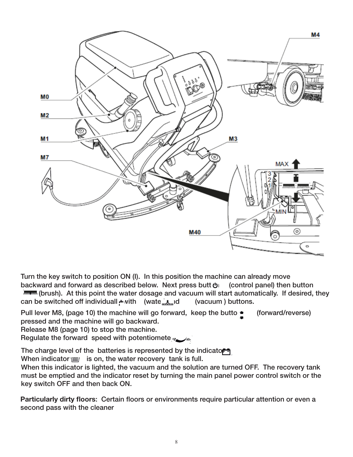

Turn the key switch to position ON (I). In this position the machine can already move backward and forward as described below. Next press butt  $\mathbf{\Phi}$  (control panel) then button **IMERGANERS (Brush).** At this point the water dosage and vacuum will start automatically. If desired, they can be switched off individuall with (wate  $\Delta$  id (vacuum ) buttons.

Pull lever M8, (page 10) the machine will go forward, keep the butto $\bullet$  (forward/reverse) pressed and the machine will go backward.

Release M8 (page 10) to stop the machine.

Regulate the forward speed with potentiometers

The charge level of the batteries is represented by the indicator  $\blacksquare$ When indicator  $\chi$  is on, the water recovery tank is full.

When this indicator is lighted, the vacuum and the solution are turned OFF. The recovery tank must be emptied and the indicator reset by turning the main panel power control switch or the key switch OFF and then back ON.

Particularly dirty floors: Certain floors or environments require particular attention or even a second pass with the cleaner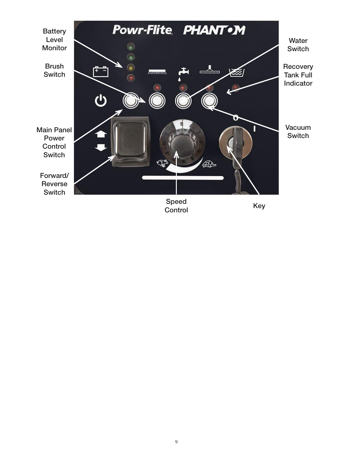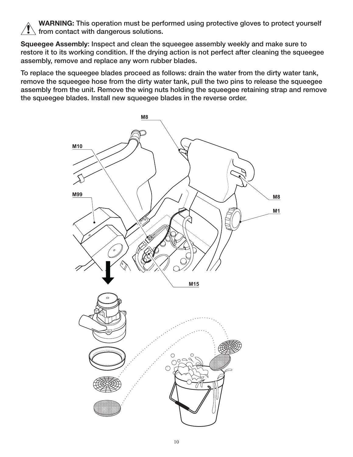WARNING: This operation must be performed using protective gloves to protect yourself  $\lambda$  from contact with dangerous solutions.

Squeegee Assembly: Inspect and clean the squeegee assembly weekly and make sure to restore it to its working condition. If the drying action is not perfect after cleaning the squeegee assembly, remove and replace any worn rubber blades.

To replace the squeegee blades proceed as follows: drain the water from the dirty water tank, remove the squeegee hose from the dirty water tank, pull the two pins to release the squeegee assembly from the unit. Remove the wing nuts holding the squeegee retaining strap and remove the squeegee blades. Install new squeegee blades in the reverse order.

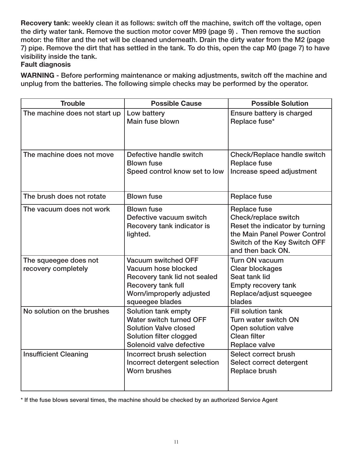Recovery tank: weekly clean it as follows: switch off the machine, switch off the voltage, open the dirty water tank. Remove the suction motor cover M99 (page 9) . Then remove the suction motor: the filter and the net will be cleaned underneath. Drain the dirty water from the M2 (page 7) pipe. Remove the dirt that has settled in the tank. To do this, open the cap M0 (page 7) to have visibility inside the tank.

# Fault diagnosis

WARNING - Before performing maintenance or making adjustments, switch off the machine and unplug from the batteries. The following simple checks may be performed by the operator.

| <b>Trouble</b>                               | <b>Possible Cause</b>                                                                                                                                  | <b>Possible Solution</b>                                                                                                                                           |
|----------------------------------------------|--------------------------------------------------------------------------------------------------------------------------------------------------------|--------------------------------------------------------------------------------------------------------------------------------------------------------------------|
| The machine does not start up                | Low battery<br>Main fuse blown                                                                                                                         | Ensure battery is charged<br>Replace fuse*                                                                                                                         |
| The machine does not move                    | Defective handle switch<br><b>Blown fuse</b><br>Speed control know set to low                                                                          | Check/Replace handle switch<br><b>Replace fuse</b><br>Increase speed adjustment                                                                                    |
| The brush does not rotate                    | <b>Blown fuse</b>                                                                                                                                      | <b>Replace fuse</b>                                                                                                                                                |
| The vacuum does not work                     | <b>Blown fuse</b><br>Defective vacuum switch<br>Recovery tank indicator is<br>lighted.                                                                 | <b>Replace fuse</b><br>Check/replace switch<br>Reset the indicator by turning<br>the Main Panel Power Control<br>Switch of the Key Switch OFF<br>and then back ON. |
| The squeegee does not<br>recovery completely | <b>Vacuum switched OFF</b><br>Vacuum hose blocked<br>Recovery tank lid not sealed<br>Recovery tank full<br>Worn/improperly adjusted<br>squeegee blades | <b>Turn ON vacuum</b><br><b>Clear blockages</b><br>Seat tank lid<br><b>Empty recovery tank</b><br>Replace/adjust squeegee<br>blades                                |
| No solution on the brushes                   | Solution tank empty<br>Water switch turned OFF<br><b>Solution Valve closed</b><br>Solution filter clogged<br>Solenoid valve defective                  | <b>Fill solution tank</b><br>Turn water switch ON<br>Open solution valve<br><b>Clean filter</b><br><b>Replace valve</b>                                            |
| <b>Insufficient Cleaning</b>                 | Incorrect brush selection<br>Incorrect detergent selection<br><b>Worn brushes</b>                                                                      | Select correct brush<br>Select correct detergent<br>Replace brush                                                                                                  |

\* If the fuse blows several times, the machine should be checked by an authorized Service Agent